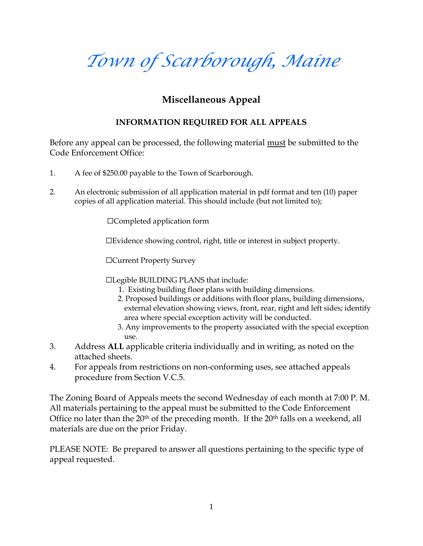# Town of Scarborough, Maine

Miscellaneous Appeal

### INFORMATION REQUIRED FOR ALL APPEALS

Before any appeal can be processed, m the submit be slub by minitual mode to the ender the substitution of the substitution of the substitution of the substitution of the substitution of the substitution of the substitutio Code Enforcement Office:

- 1. A fee of \$250.00 payable to the Town of Scarborough.
- 2. An electronic submission of all application material in pdf forma copies of all application material. (bTuhtis dsimmatue) of innolude

&Completed application form

& Evidenscheowinc gntrollght, title or interest in subject propert

&Current Property Survey

&Legible BUILDING PLANS that include:

- 1. Existing building floor plans with building dimension 2. Proposed buildings or additions with floor plans, buil externeal evation showing untimity, or ear, right and left sides; identify area where cial exception activity will be conducted. 3 Any improvements to the property associated with the
- use. 3. Addre **A t** Lapplica christeria indivion dall writing, as noted on the
- attached sheets. 4. For appeals from restrictoinofroms moinning ounses, see attached appe proced uremSection V.C.5.

The Zoning Board of Appeals meets the second Watednoeos day Mo.f e All materials pertaining to the appeal must be submitted to the Office no later than the preceding monthalls for the 200e ekend, all materials are due on the prior Friday.

PLEASE NOTE: Bet præms a weed all questions pertaining to the spe appeal requested .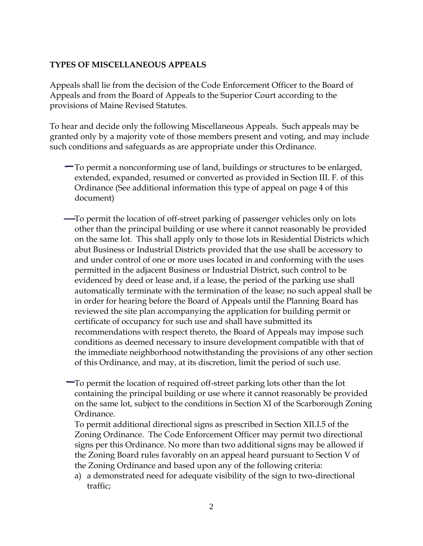#### TYPES MISCELLANEOUS APPEALS

Appeals shall lie from the decision of the Code Enforcement Of Appeals and from the Board of Appeals to the Superior Court a provisions of Maine Revised Statutes.

To hear and decide only the following Miscellaneous Appeals. granted only by a majority vote of thonsdevmoteinmion, enamopirmes asynithalude such conditions and safeguards as are appropriate under this (

- $\blacksquare$  To permit a nonconforming use of land, buildings or struct extendex panded, resumed or converted as provideed in Sect Ordinan  $\mathcal S$  ee additional intiforms tay to position the page 4 of this order than the sense of this sense and  $\mathcal S$  are additional intiforms that appeal on page 4 of this document)
- $\longrightarrow$  To permit the locastion entire final final of passenger vehicles only other thapriheipal building or use where it cannot reasonal on hte same lot. Tahpins when the shall apply to those lots in Residential Districts which we have some  $\frac{1}{2}$ abut Business or Induspirical indentification the use shall be accest and under control of one or more uses located in and conforming permitted einad ha cBeunstiness or Industrial cDoinstroid ttos beh evidenced by deed or lease and, if a lease, the period of t automatically terminate with the termination of the lease; in order for hearing Beaodeofh Appeals until the Planning Bo reviewed the site plan accompanying the application for bu certificate of occupancy for such use and shall have submi recommendations with respect thereto, the Bosarducch Appeals may be a conditions as deemed necessary to insure development con the immediate neighborhood notwithstanding the provisions ofthis Ordinance, and may, at its discretion, limit the perio
- $\blacksquare$  To permit otchaetion of req-street topfarking lots other than the lo containing runeipal building or use where it cannot reasona on the same lot, the bote onto the Section of the Scarborough Zoning Ordinance.

To permant ditional directional signs as presicofibende in Section Zoning Ordiname eCode Enforcement Officer may permit two signs per this Ordinance. No more than two additional sign the Zoning Board rules fa an appendelarion eard pursuant to Section the Zoning Ordinance and based upon any of the following a)ademonstrated need for adequate visib-dlite conformed sign to traffic;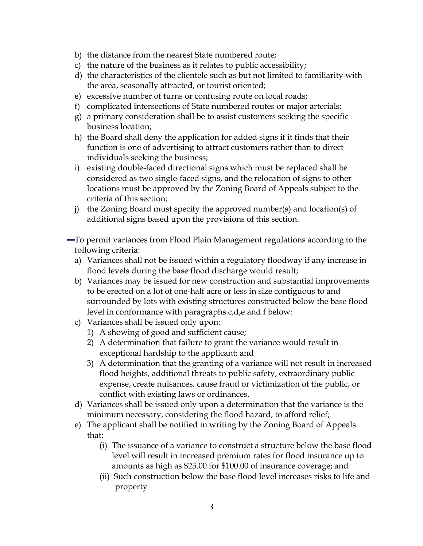- b)the distance from the nearest State numbered route;
- c) the natoufrethe business as it relates to public accessibilit
- d)the characteristics of the clientele such as but not limited to familiary  $d$ the area, seasonally attracted, or tourist oriented;
- e)excessive number of turns or confusing route on local ro
- f) compicated intersections of State numbered routes or maj
- g)a primary consideration shall be to assist customers see business location;
- h)the Board shall deny the application for added signs if it function is odrvee rafsang to attract customers rather than to individuals seeking the business;
- i) existing dotambed directional signs which must be replaced considered as two ceth signs, and the relocation of signs locations mustobe cappy the Zoning Board of Appeals subje criteria of this section;
- $j$ ) the Zoning Board must specify the approved number(s) and  $j$ additional signs based upon the provisions of this sectio
- $-$  To permit variances from FloochtPlaeignum Matainoangse ance cording to the  $\overline{a}$ following teria:
	- a) Variances shall not be issued within a regulatory floodwa flood ledutsing the base flood discharge would result;
	- b) Variances may be issued for new construm primovements ubstantial incomparation and  $i$ to be erected on and of tanger less in size contiguous to surrounded by lots with the structures constructed below the ba level in conformance with paragraphs c,d,e and f below:
	- c)Variances shall be issued only upon:
		- 1)A showing of good and sufficient cause;
		- 2) A determination that failure to grant the variance woul exceptional haordtshheipapplicant; and
		- 3) A determination that the granting of a variance will no flood heights, addetatosnal to phublic safety, extraordinary p expense, colueia a ances, cause fraud or victimization of th conflict with existing laws or ordinances .
	- d) Variances shall be issued only upon a determination that minimum negescscarsidering the flood hazard, to afford rel
	- e) The applicant shall be notified in writing by the Zoning B that:
		- $(i)$ The issuance of a variance to construct a structure  $\vdash$ level will result in increased proedmi**ns**u**rates** fuopr ffolo amounts as high as \$25.00 for \$100.00 of insurance
		- (ii) Such construction below the base flood level incre

property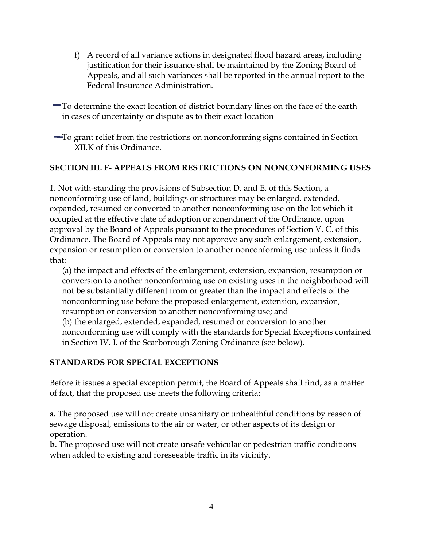- f) A record of all variance actions in designated flood haza justification for their issuance shall be maintained by th Appeals, and all such variances shall be reported in the Federal Insurance Administration.
- $-$  To determine the exact location of dishrechabeu on the hangetsh on in cases of uncertainty or dispute as to their exact location
- $\blacksquare$  To grant relief from the restrictions on nonconforming signs XIK of this Ordinance.

#### SECTION LAPPEALS FROM RESTRICTIONNG SOON FORMING USES

1. Not wish anding the provisions of Subsection D. and E. of this nonconforming use of land, buildings or structures may be enla expanded, resumed or converted to another nonconforming use occupied at the effective date of adoption or amendment of the approval by the Board of Aptopethe pursuantes of Section V. C. o Ordinan Tchee Board of Appeals may not approve any such enlarge expansior resumption or conversion to another nonconforming u that:

(a) the impact and effects of the enlargement, extension,  $e \times p$ conversion to another nonconforming use on existing uses in not be stantially different from or greater than the impact and nonconforms regbefore the proposed enlargement, extension, e resumption or cotroveansoible nonconforming use; and (b) the enlarged, extended, expandeerds, ior neston maximator to hree con nonconform invgillus comply with the s<u>tSapnedcairad sEfxcc</u>recipinibanished in Section IVe **Scartorough Ozoninian** sebeelow

#### STANDARDS FOR SPECIAL EXCEPTIONS

Before it issues a special exception permit, the Board of Appea of fact, that the proposed use meets the following criteria:

a.The proposed use will not create unsanitary or unhealthful co sewage disposasjons to the air or water, or other aspects of its operation.

b.The proposed use will not create unsafe vehicular or pedestri when added to existing and foreseeable traffic in its vicinity.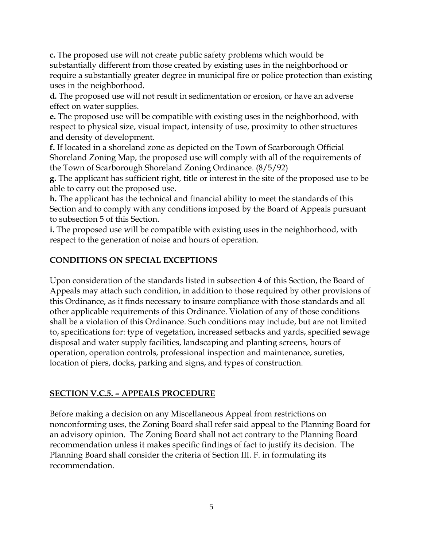**c.** The proposed use will not create public safety problems which would be substantially different from those created by existing uses in the neighborhood or require a substantially greater degree in municipal fire or police protection than existing uses in the neighborhood.

**d.** The proposed use will not result in sedimentation or erosion, or have an adverse effect on water supplies.

**e.** The proposed use will be compatible with existing uses in the neighborhood, with respect to physical size, visual impact, intensity of use, proximity to other structures and density of development.

**f.** If located in a shoreland zone as depicted on the Town of Scarborough Official Shoreland Zoning Map, the proposed use will comply with all of the requirements of the Town of Scarborough Shoreland Zoning Ordinance. (8/5/92)

**g.** The applicant has sufficient right, title or interest in the site of the proposed use to be able to carry out the proposed use.

**h.** The applicant has the technical and financial ability to meet the standards of this Section and to comply with any conditions imposed by the Board of Appeals pursuant to subsection 5 of this Section.

**i.** The proposed use will be compatible with existing uses in the neighborhood, with respect to the generation of noise and hours of operation.

## **CONDITIONS ON SPECIAL EXCEPTIONS**

Upon consideration of the standards listed in subsection 4 of this Section, the Board of Appeals may attach such condition, in addition to those required by other provisions of this Ordinance, as it finds necessary to insure compliance with those standards and all other applicable requirements of this Ordinance. Violation of any of those conditions shall be a violation of this Ordinance. Such conditions may include, but are not limited to, specifications for: type of vegetation, increased setbacks and yards, specified sewage disposal and water supply facilities, landscaping and planting screens, hours of operation, operation controls, professional inspection and maintenance, sureties, location of piers, docks, parking and signs, and types of construction.

## **SECTION V.C.5. – APPEALS PROCEDURE**

Before making a decision on any Miscellaneous Appeal from restrictions on nonconforming uses, the Zoning Board shall refer said appeal to the Planning Board for an advisory opinion. The Zoning Board shall not act contrary to the Planning Board recommendation unless it makes specific findings of fact to justify its decision. The Planning Board shall consider the criteria of Section III. F. in formulating its recommendation.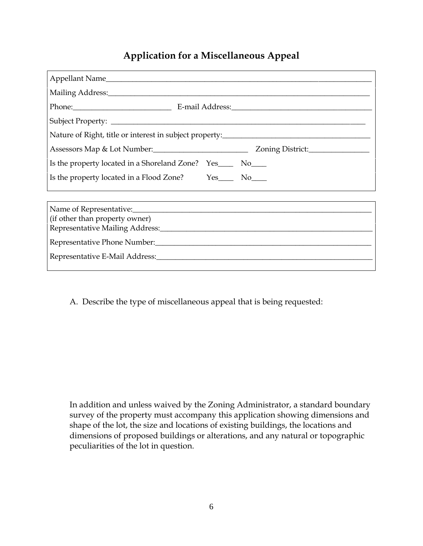## Application fMd is a ellaneous Appeal

| Nature of Right, title or interest in subject property:__________________________ |            |
|-----------------------------------------------------------------------------------|------------|
| Assessors Map & Lot Number: ____________________________                          | Zoning     |
| Yes____<br>Is the property located in a Shoreland Zone?                           | $NO_{---}$ |
| Yes____   No____  <br>Is the property located in a Flood Zone?                    |            |
|                                                                                   |            |

| (if other than property owner)<br>Representative Mailing Address: |
|-------------------------------------------------------------------|
|                                                                   |
|                                                                   |
|                                                                   |

A. Describly public miscellane bhuast apples ailing requested:

In additand unless waived by the ZoninagsAhalmdaristthatormunicary survey hoef property must accompany this application showing shape of the lot, the size and locations of existing building dimensions of proposed buildings or alterations, and any na peculiarities of othes too nin